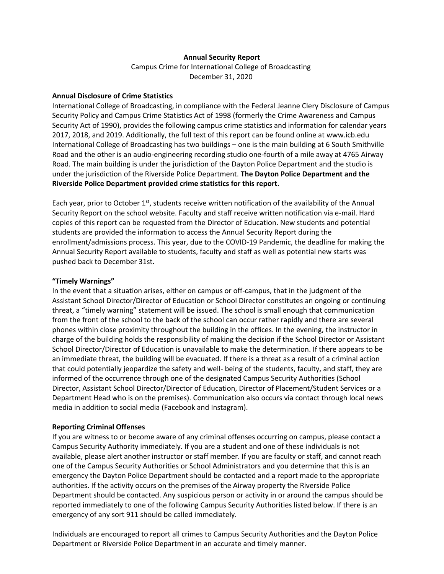## **Annual Security Report**

Campus Crime for International College of Broadcasting December 31, 2020

#### **Annual Disclosure of Crime Statistics**

International College of Broadcasting, in compliance with the Federal Jeanne Clery Disclosure of Campus Security Policy and Campus Crime Statistics Act of 1998 (formerly the Crime Awareness and Campus Security Act of 1990), provides the following campus crime statistics and information for calendar years 2017, 2018, and 2019. Additionally, the full text of this report can be found online at [www.icb.edu](http://www.icb.edu/) International College of Broadcasting has two buildings – one is the main building at 6 South Smithville Road and the other is an audio-engineering recording studio one-fourth of a mile away at 4765 Airway Road. The main building is under the jurisdiction of the Dayton Police Department and the studio is under the jurisdiction of the Riverside Police Department. **The Dayton Police Department and the Riverside Police Department provided crime statistics for this report.** 

Each year, prior to October 1<sup>st</sup>, students receive written notification of the availability of the Annual Security Report on the school website. Faculty and staff receive written notification via e-mail. Hard copies of this report can be requested from the Director of Education. New students and potential students are provided the information to access the Annual Security Report during the enrollment/admissions process. This year, due to the COVID-19 Pandemic, the deadline for making the Annual Security Report available to students, faculty and staff as well as potential new starts was pushed back to December 31st.

#### **"Timely Warnings"**

In the event that a situation arises, either on campus or off-campus, that in the judgment of the Assistant School Director/Director of Education or School Director constitutes an ongoing or continuing threat, a "timely warning" statement will be issued. The school is small enough that communication from the front of the school to the back of the school can occur rather rapidly and there are several phones within close proximity throughout the building in the offices. In the evening, the instructor in charge of the building holds the responsibility of making the decision if the School Director or Assistant School Director/Director of Education is unavailable to make the determination. If there appears to be an immediate threat, the building will be evacuated. If there is a threat as a result of a criminal action that could potentially jeopardize the safety and well- being of the students, faculty, and staff, they are informed of the occurrence through one of the designated Campus Security Authorities (School Director, Assistant School Director/Director of Education, Director of Placement/Student Services or a Department Head who is on the premises). Communication also occurs via contact through local news media in addition to social media (Facebook and Instagram).

#### **Reporting Criminal Offenses**

If you are witness to or become aware of any criminal offenses occurring on campus, please contact a Campus Security Authority immediately. If you are a student and one of these individuals is not available, please alert another instructor or staff member. If you are faculty or staff, and cannot reach one of the Campus Security Authorities or School Administrators and you determine that this is an emergency the Dayton Police Department should be contacted and a report made to the appropriate authorities. If the activity occurs on the premises of the Airway property the Riverside Police Department should be contacted. Any suspicious person or activity in or around the campus should be reported immediately to one of the following Campus Security Authorities listed below. If there is an emergency of any sort 911 should be called immediately.

Individuals are encouraged to report all crimes to Campus Security Authorities and the Dayton Police Department or Riverside Police Department in an accurate and timely manner.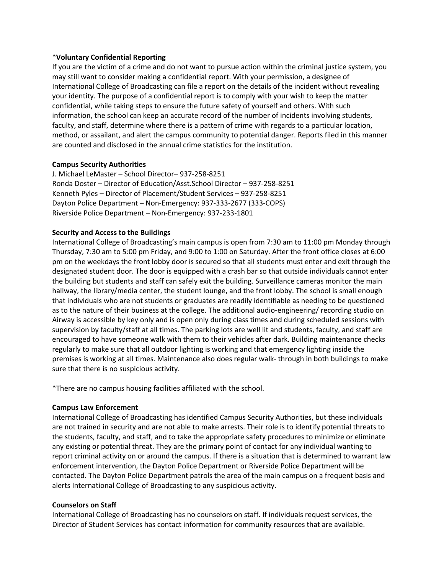## \***Voluntary Confidential Reporting**

If you are the victim of a crime and do not want to pursue action within the criminal justice system, you may still want to consider making a confidential report. With your permission, a designee of International College of Broadcasting can file a report on the details of the incident without revealing your identity. The purpose of a confidential report is to comply with your wish to keep the matter confidential, while taking steps to ensure the future safety of yourself and others. With such information, the school can keep an accurate record of the number of incidents involving students, faculty, and staff, determine where there is a pattern of crime with regards to a particular location, method, or assailant, and alert the campus community to potential danger. Reports filed in this manner are counted and disclosed in the annual crime statistics for the institution.

## **Campus Security Authorities**

J. Michael LeMaster – School Director– 937-258-8251 Ronda Doster – Director of Education/Asst.School Director – 937-258-8251 Kenneth Pyles – Director of Placement/Student Services – 937-258-8251 Dayton Police Department – Non-Emergency: 937-333-2677 (333-COPS) Riverside Police Department – Non-Emergency: 937-233-1801

## **Security and Access to the Buildings**

International College of Broadcasting's main campus is open from 7:30 am to 11:00 pm Monday through Thursday, 7:30 am to 5:00 pm Friday, and 9:00 to 1:00 on Saturday. After the front office closes at 6:00 pm on the weekdays the front lobby door is secured so that all students must enter and exit through the designated student door. The door is equipped with a crash bar so that outside individuals cannot enter the building but students and staff can safely exit the building. Surveillance cameras monitor the main hallway, the library/media center, the student lounge, and the front lobby. The school is small enough that individuals who are not students or graduates are readily identifiable as needing to be questioned as to the nature of their business at the college. The additional audio-engineering/ recording studio on Airway is accessible by key only and is open only during class times and during scheduled sessions with supervision by faculty/staff at all times. The parking lots are well lit and students, faculty, and staff are encouraged to have someone walk with them to their vehicles after dark. Building maintenance checks regularly to make sure that all outdoor lighting is working and that emergency lighting inside the premises is working at all times. Maintenance also does regular walk- through in both buildings to make sure that there is no suspicious activity.

\*There are no campus housing facilities affiliated with the school.

#### **Campus Law Enforcement**

International College of Broadcasting has identified Campus Security Authorities, but these individuals are not trained in security and are not able to make arrests. Their role is to identify potential threats to the students, faculty, and staff, and to take the appropriate safety procedures to minimize or eliminate any existing or potential threat. They are the primary point of contact for any individual wanting to report criminal activity on or around the campus. If there is a situation that is determined to warrant law enforcement intervention, the Dayton Police Department or Riverside Police Department will be contacted. The Dayton Police Department patrols the area of the main campus on a frequent basis and alerts International College of Broadcasting to any suspicious activity.

#### **Counselors on Staff**

International College of Broadcasting has no counselors on staff. If individuals request services, the Director of Student Services has contact information for community resources that are available.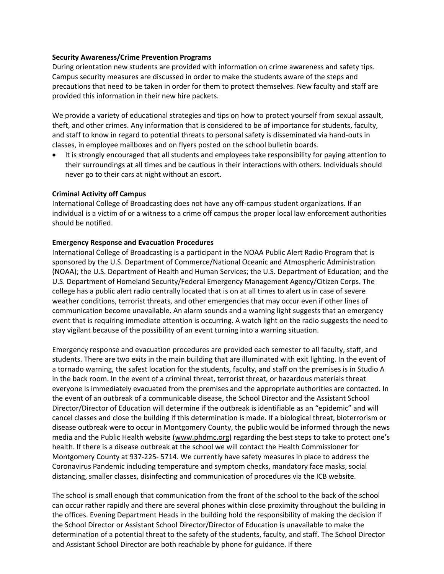### **Security Awareness/Crime Prevention Programs**

During orientation new students are provided with information on crime awareness and safety tips. Campus security measures are discussed in order to make the students aware of the steps and precautions that need to be taken in order for them to protect themselves. New faculty and staff are provided this information in their new hire packets.

We provide a variety of educational strategies and tips on how to protect yourself from sexual assault, theft, and other crimes. Any information that is considered to be of importance for students, faculty, and staff to know in regard to potential threats to personal safety is disseminated via hand-outs in classes, in employee mailboxes and on flyers posted on the school bulletin boards.

• It is strongly encouraged that all students and employees take responsibility for paying attention to their surroundings at all times and be cautious in their interactions with others. Individuals should never go to their cars at night without an escort.

## **Criminal Activity off Campus**

International College of Broadcasting does not have any off-campus student organizations. If an individual is a victim of or a witness to a crime off campus the proper local law enforcement authorities should be notified.

## **Emergency Response and Evacuation Procedures**

International College of Broadcasting is a participant in the NOAA Public Alert Radio Program that is sponsored by the U.S. Department of Commerce/National Oceanic and Atmospheric Administration (NOAA); the U.S. Department of Health and Human Services; the U.S. Department of Education; and the U.S. Department of Homeland Security/Federal Emergency Management Agency/Citizen Corps. The college has a public alert radio centrally located that is on at all times to alert us in case of severe weather conditions, terrorist threats, and other emergencies that may occur even if other lines of communication become unavailable. An alarm sounds and a warning light suggests that an emergency event that is requiring immediate attention is occurring. A watch light on the radio suggests the need to stay vigilant because of the possibility of an event turning into a warning situation.

Emergency response and evacuation procedures are provided each semester to all faculty, staff, and students. There are two exits in the main building that are illuminated with exit lighting. In the event of a tornado warning, the safest location for the students, faculty, and staff on the premises is in Studio A in the back room. In the event of a criminal threat, terrorist threat, or hazardous materials threat everyone is immediately evacuated from the premises and the appropriate authorities are contacted. In the event of an outbreak of a communicable disease, the School Director and the Assistant School Director/Director of Education will determine if the outbreak is identifiable as an "epidemic" and will cancel classes and close the building if this determination is made. If a biological threat, bioterrorism or disease outbreak were to occur in Montgomery County, the public would be informed through the news media and the Public Health website [\(www.phdmc.org\)](http://www.phdmc.org/) regarding the best steps to take to protect one's health. If there is a disease outbreak at the school we will contact the Health Commissioner for Montgomery County at 937-225- 5714. We currently have safety measures in place to address the Coronavirus Pandemic including temperature and symptom checks, mandatory face masks, social distancing, smaller classes, disinfecting and communication of procedures via the ICB website.

The school is small enough that communication from the front of the school to the back of the school can occur rather rapidly and there are several phones within close proximity throughout the building in the offices. Evening Department Heads in the building hold the responsibility of making the decision if the School Director or Assistant School Director/Director of Education is unavailable to make the determination of a potential threat to the safety of the students, faculty, and staff. The School Director and Assistant School Director are both reachable by phone for guidance. If there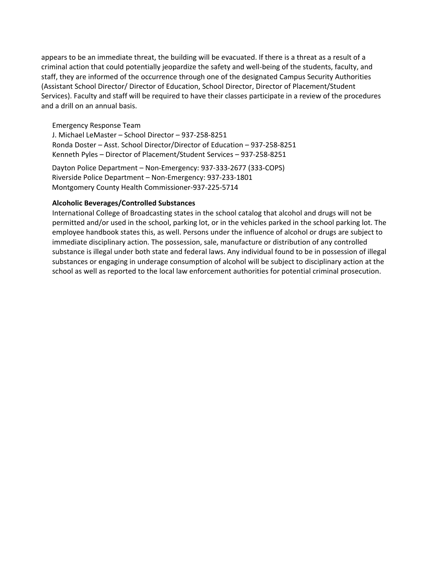appears to be an immediate threat, the building will be evacuated. If there is a threat as a result of a criminal action that could potentially jeopardize the safety and well-being of the students, faculty, and staff, they are informed of the occurrence through one of the designated Campus Security Authorities (Assistant School Director/ Director of Education, School Director, Director of Placement/Student Services). Faculty and staff will be required to have their classes participate in a review of the procedures and a drill on an annual basis.

Emergency Response Team

J. Michael LeMaster – School Director – 937-258-8251 Ronda Doster – Asst. School Director/Director of Education – 937-258-8251 Kenneth Pyles – Director of Placement/Student Services – 937-258-8251

Dayton Police Department – Non-Emergency: 937-333-2677 (333-COPS) Riverside Police Department – Non-Emergency: 937-233-1801 Montgomery County Health Commissioner-937-225-5714

## **Alcoholic Beverages/Controlled Substances**

International College of Broadcasting states in the school catalog that alcohol and drugs will not be permitted and/or used in the school, parking lot, or in the vehicles parked in the school parking lot. The employee handbook states this, as well. Persons under the influence of alcohol or drugs are subject to immediate disciplinary action. The possession, sale, manufacture or distribution of any controlled substance is illegal under both state and federal laws. Any individual found to be in possession of illegal substances or engaging in underage consumption of alcohol will be subject to disciplinary action at the school as well as reported to the local law enforcement authorities for potential criminal prosecution.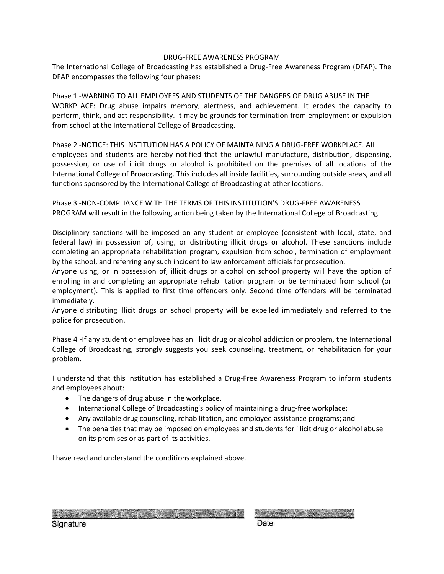## DRUG-FREE AWARENESS PROGRAM

The International College of Broadcasting has established a Drug-Free Awareness Program (DFAP). The DFAP encompasses the following four phases:

Phase 1 -WARNING TO ALL EMPLOYEES AND STUDENTS OF THE DANGERS OF DRUG ABUSE IN THE WORKPLACE: Drug abuse impairs memory, alertness, and achievement. It erodes the capacity to perform, think, and act responsibility. It may be grounds for termination from employment or expulsion from school at the International College of Broadcasting.

Phase 2 -NOTICE: THIS INSTITUTION HAS A POLICY OF MAINTAINING A DRUG-FREE WORKPLACE. All employees and students are hereby notified that the unlawful manufacture, distribution, dispensing, possession, or use of illicit drugs or alcohol is prohibited on the premises of all locations of the International College of Broadcasting. This includes all inside facilities, surrounding outside areas, and all functions sponsored by the International College of Broadcasting at other locations.

Phase 3 -NON-COMPLIANCE WITH THE TERMS OF THIS INSTITUTION'S DRUG-FREE AWARENESS PROGRAM will result in the following action being taken by the International College of Broadcasting.

Disciplinary sanctions will be imposed on any student or employee (consistent with local, state, and federal law) in possession of, using, or distributing illicit drugs or alcohol. These sanctions include completing an appropriate rehabilitation program, expulsion from school, termination of employment by the school, and referring any such incident to law enforcement officials for prosecution.

Anyone using, or in possession of, illicit drugs or alcohol on school property will have the option of enrolling in and completing an appropriate rehabilitation program or be terminated from school (or employment). This is applied to first time offenders only. Second time offenders will be terminated immediately.

Anyone distributing illicit drugs on school property will be expelled immediately and referred to the police for prosecution.

Phase 4 -If any student or employee has an illicit drug or alcohol addiction or problem, the International College of Broadcasting, strongly suggests you seek counseling, treatment, or rehabilitation for your problem.

I understand that this institution has established a Drug-Free Awareness Program to inform students and employees about:

- The dangers of drug abuse in the workplace.
- International College of Broadcasting's policy of maintaining a drug-free workplace;
- Any available drug counseling, rehabilitation, and employee assistance programs; and
- The penalties that may be imposed on employees and students for illicit drug or alcohol abuse on its premises or as part of its activities.

I have read and understand the conditions explained above.

STATISTICS IN A NATIONAL CONTRACTOR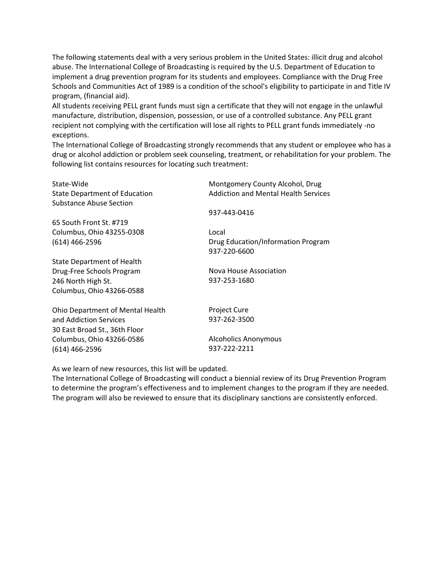The following statements deal with a very serious problem in the United States: illicit drug and alcohol abuse. The International College of Broadcasting is required by the U.S. Department of Education to implement a drug prevention program for its students and employees. Compliance with the Drug Free Schools and Communities Act of 1989 is a condition of the school's eligibility to participate in and Title IV program, (financial aid).

All students receiving PELL grant funds must sign a certificate that they will not engage in the unlawful manufacture, distribution, dispension, possession, or use of a controlled substance. Any PELL grant recipient not complying with the certification will lose all rights to PELL grant funds immediately -no exceptions.

The International College of Broadcasting strongly recommends that any student or employee who has a drug or alcohol addiction or problem seek counseling, treatment, or rehabilitation for your problem. The following list contains resources for locating such treatment:

| State-Wide<br><b>State Department of Education</b><br><b>Substance Abuse Section</b> | Montgomery County Alcohol, Drug<br><b>Addiction and Mental Health Services</b> |
|--------------------------------------------------------------------------------------|--------------------------------------------------------------------------------|
|                                                                                      | 937-443-0416                                                                   |
| 65 South Front St. #719                                                              |                                                                                |
| Columbus, Ohio 43255-0308                                                            | Local                                                                          |
| $(614)$ 466-2596                                                                     | Drug Education/Information Program<br>937-220-6600                             |
| <b>State Department of Health</b>                                                    |                                                                                |
| Drug-Free Schools Program                                                            | Nova House Association                                                         |
| 246 North High St.                                                                   | 937-253-1680                                                                   |
| Columbus, Ohio 43266-0588                                                            |                                                                                |
| <b>Ohio Department of Mental Health</b>                                              | <b>Project Cure</b>                                                            |
| and Addiction Services<br>30 East Broad St., 36th Floor                              | 937-262-3500                                                                   |
| Columbus, Ohio 43266-0586                                                            | <b>Alcoholics Anonymous</b>                                                    |
| $(614)$ 466-2596                                                                     | 937-222-2211                                                                   |

As we learn of new resources, this list will be updated.

The International College of Broadcasting will conduct a biennial review of its Drug Prevention Program to determine the program's effectiveness and to implement changes to the program if they are needed. The program will also be reviewed to ensure that its disciplinary sanctions are consistently enforced.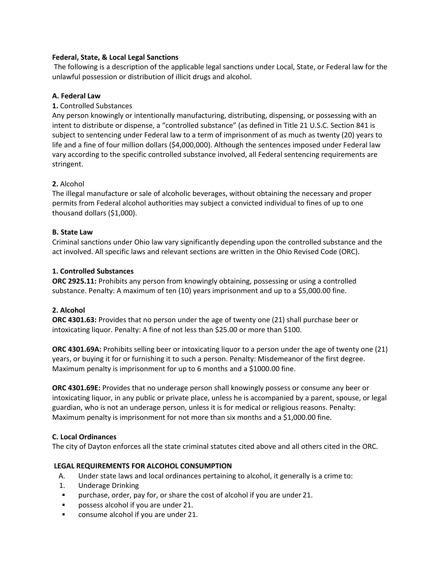## **Federal, State, & Local Legal Sanctions**

The following is a description of the applicable legal sanctions under Local, State, or Federal law for the unlawful possession or distribution of illicit drugs and alcohol.

# **A. Federal Law**

# **1.** Controlled Substances

Any person knowingly or intentionally manufacturing, distributing, dispensing, or possessing with an intent to distribute or dispense, a "controlled substance" (as defined in Title 21 U.S.C. Section 841 is subject to sentencing under Federal law to a term of imprisonment of as much as twenty (20) years to life and a fine of four million dollars (\$4,000,000). Although the sentences imposed under Federal law vary according to the specific controlled substance involved, all Federal sentencing requirements are stringent.

# **2.** Alcohol

The illegal manufacture or sale of alcoholic beverages, without obtaining the necessary and proper permits from Federal alcohol authorities may subject a convicted individual to fines of up to one thousand dollars (\$1,000).

## **B. State Law**

Criminal sanctions under Ohio law vary significantly depending upon the controlled substance and the act involved. All specific laws and relevant sections are written in the Ohio Revised Code (ORC).

## **1. Controlled Substances**

**ORC 2925.11:** Prohibits any person from knowingly obtaining, possessing or using a controlled substance. Penalty: A maximum of ten (10) years imprisonment and up to a \$5,000.00 fine.

# **2. Alcohol**

**ORC 4301.63:** Provides that no person under the age of twenty one (21) shall purchase beer or intoxicating liquor. Penalty: A fine of not less than \$25.00 or more than \$100.

**ORC 4301.69A:** Prohibits selling beer or intoxicating liquor to a person under the age of twenty one (21) years, or buying it for or furnishing it to such a person. Penalty: Misdemeanor of the first degree. Maximum penalty is imprisonment for up to 6 months and a \$1000.00 fine.

**ORC 4301.69E:** Provides that no underage person shall knowingly possess or consume any beer or intoxicating liquor, in any public or private place, unless he is accompanied by a parent, spouse, or legal guardian, who is not an underage person, unless it is for medical or religious reasons. Penalty: Maximum penalty is imprisonment for not more than six months and a \$1,000.00 fine.

## **C. Local Ordinances**

The city of Dayton enforces all the state criminal statutes cited above and all others cited in the ORC.

# **LEGAL REQUIREMENTS FOR ALCOHOL CONSUMPTION**

- A. Under state laws and local ordinances pertaining to alcohol, it generally is a crime to:
- 1. Underage Drinking
- purchase, order, pay for, or share the cost of alcohol if you are under 21.
- possess alcohol if you are under 21.
- consume alcohol if you are under 21.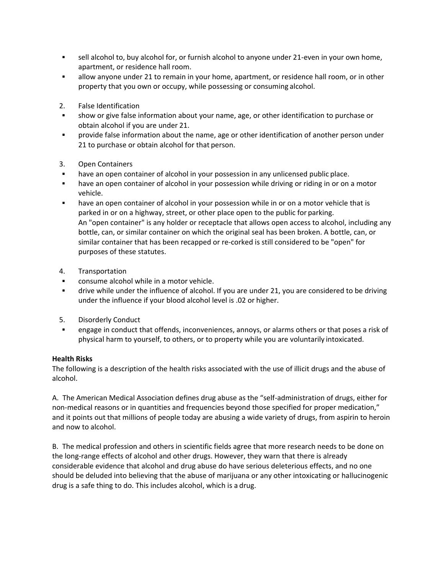- sell alcohol to, buy alcohol for, or furnish alcohol to anyone under 21-even in your own home, apartment, or residence hall room.
- allow anyone under 21 to remain in your home, apartment, or residence hall room, or in other property that you own or occupy, while possessing or consuming alcohol.
- 2. False Identification
- show or give false information about your name, age, or other identification to purchase or obtain alcohol if you are under 21.
- **•** provide false information about the name, age or other identification of another person under 21 to purchase or obtain alcohol for that person.
- 3. Open Containers
- have an open container of alcohol in your possession in any unlicensed public place.
- have an open container of alcohol in your possession while driving or riding in or on a motor vehicle.
- have an open container of alcohol in your possession while in or on a motor vehicle that is parked in or on a highway, street, or other place open to the public for parking. An "open container" is any holder or receptacle that allows open access to alcohol, including any bottle, can, or similar container on which the original seal has been broken. A bottle, can, or similar container that has been recapped or re-corked is still considered to be "open" for purposes of these statutes.
- 4. Transportation
- consume alcohol while in a motor vehicle.
- drive while under the influence of alcohol. If you are under 21, you are considered to be driving under the influence if your blood alcohol level is .02 or higher.
- 5. Disorderly Conduct
- engage in conduct that offends, inconveniences, annoys, or alarms others or that poses a risk of physical harm to yourself, to others, or to property while you are voluntarily intoxicated.

## **Health Risks**

The following is a description of the health risks associated with the use of illicit drugs and the abuse of alcohol.

A. The American Medical Association defines drug abuse as the "self-administration of drugs, either for non-medical reasons or in quantities and frequencies beyond those specified for proper medication," and it points out that millions of people today are abusing a wide variety of drugs, from aspirin to heroin and now to alcohol.

B. The medical profession and others in scientific fields agree that more research needs to be done on the long-range effects of alcohol and other drugs. However, they warn that there is already considerable evidence that alcohol and drug abuse do have serious deleterious effects, and no one should be deluded into believing that the abuse of marijuana or any other intoxicating or hallucinogenic drug is a safe thing to do. This includes alcohol, which is a drug.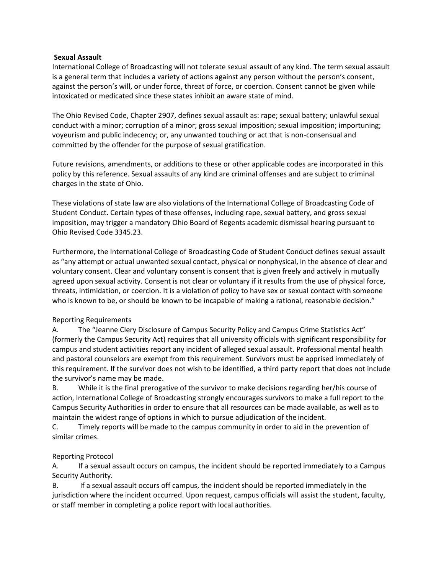## **Sexual Assault**

International College of Broadcasting will not tolerate sexual assault of any kind. The term sexual assault is a general term that includes a variety of actions against any person without the person's consent, against the person's will, or under force, threat of force, or coercion. Consent cannot be given while intoxicated or medicated since these states inhibit an aware state of mind.

The Ohio Revised Code, Chapter 2907, defines sexual assault as: rape; sexual battery; unlawful sexual conduct with a minor; corruption of a minor; gross sexual imposition; sexual imposition; importuning; voyeurism and public indecency; or, any unwanted touching or act that is non-consensual and committed by the offender for the purpose of sexual gratification.

Future revisions, amendments, or additions to these or other applicable codes are incorporated in this policy by this reference. Sexual assaults of any kind are criminal offenses and are subject to criminal charges in the state of Ohio.

These violations of state law are also violations of the International College of Broadcasting Code of Student Conduct. Certain types of these offenses, including rape, sexual battery, and gross sexual imposition, may trigger a mandatory Ohio Board of Regents academic dismissal hearing pursuant to Ohio Revised Code 3345.23.

Furthermore, the International College of Broadcasting Code of Student Conduct defines sexual assault as "any attempt or actual unwanted sexual contact, physical or nonphysical, in the absence of clear and voluntary consent. Clear and voluntary consent is consent that is given freely and actively in mutually agreed upon sexual activity. Consent is not clear or voluntary if it results from the use of physical force, threats, intimidation, or coercion. It is a violation of policy to have sex or sexual contact with someone who is known to be, or should be known to be incapable of making a rational, reasonable decision."

## Reporting Requirements

A. The "Jeanne Clery Disclosure of Campus Security Policy and Campus Crime Statistics Act" (formerly the Campus Security Act) requires that all university officials with significant responsibility for campus and student activities report any incident of alleged sexual assault. Professional mental health and pastoral counselors are exempt from this requirement. Survivors must be apprised immediately of this requirement. If the survivor does not wish to be identified, a third party report that does not include the survivor's name may be made.

B. While it is the final prerogative of the survivor to make decisions regarding her/his course of action, International College of Broadcasting strongly encourages survivors to make a full report to the Campus Security Authorities in order to ensure that all resources can be made available, as well as to maintain the widest range of options in which to pursue adjudication of the incident.

C. Timely reports will be made to the campus community in order to aid in the prevention of similar crimes.

## Reporting Protocol

A. If a sexual assault occurs on campus, the incident should be reported immediately to a Campus Security Authority.

B. If a sexual assault occurs off campus, the incident should be reported immediately in the jurisdiction where the incident occurred. Upon request, campus officials will assist the student, faculty, or staff member in completing a police report with local authorities.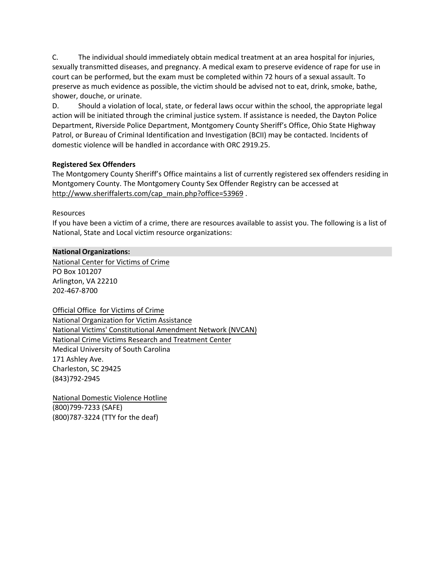C. The individual should immediately obtain medical treatment at an area hospital for injuries, sexually transmitted diseases, and pregnancy. A medical exam to preserve evidence of rape for use in court can be performed, but the exam must be completed within 72 hours of a sexual assault. To preserve as much evidence as possible, the victim should be advised not to eat, drink, smoke, bathe, shower, douche, or urinate.

D. Should a violation of local, state, or federal laws occur within the school, the appropriate legal action will be initiated through the criminal justice system. If assistance is needed, the Dayton Police Department, Riverside Police Department, Montgomery County Sheriff's Office, Ohio State Highway Patrol, or Bureau of Criminal Identification and Investigation (BCII) may be contacted. Incidents of domestic violence will be handled in accordance with ORC 2919.25.

# **Registered Sex Offenders**

The Montgomery County Sheriff's Office maintains a list of currently registered sex offenders residing in Montgomery County. The Montgomery County Sex Offender Registry can be accessed at [http://www.sheriffalerts.com/cap\\_main.php?office=53969](http://www.sheriffalerts.com/cap_main.php?office=53969) .

Resources

If you have been a victim of a crime, there are resources available to assist you. The following is a list of National, State and Local victim resource organizations:

# **National Organizations:**

[National Center for Victims of Crime](http://www.nvc.org/) PO Box 101207 Arlington, VA 22210 202-467-8700

Official Office for Victims of Crime [National Organization for Victim As](http://www.ojp.usdoj.gov/ovc/)[sistanc](http://www.trynova.org/)e [National Victims' Constitutional Amendmen](http://www.trynova.org/)t Network (NVCAN) [National Crime Victims Research and Treatment Center](http://www.nvcan.org/) [Medical University of South Carolina](http://www.musc.edu/cvc/)  171 Ashley Ave. Charleston, SC 29425 (843)792-2945

National Domestic Violence Hotline [\(800\)799-7233 \(SAFE\)](http://www.ojp.usdoj.gov/ovc/help/dv.htm) (800)787-3224 (TTY for the deaf)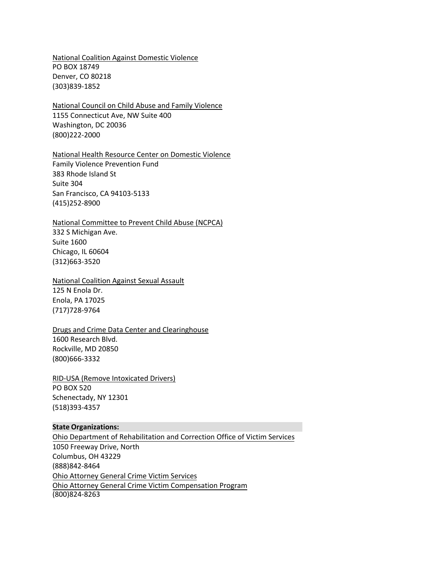[National Coalition Against Domestic Violence](http://www.ncadv.org/) PO BOX 18749 Denver, CO 80218 (303)839-1852

[National Council on Child Abuse and Family Violence](http://www.nccafv.org/) 1155 Connecticut Ave, NW Suite 400 Washington, DC 20036 (800)222-2000

[National Health Resource Center on Domestic Violence](http://endabuse.org/) Family Violence Prevention Fund 383 Rhode Island St Suite 304 San Francisco, CA 94103-5133 (415)252-8900

#### [National Committee to Prevent Child Abuse \(NCPCA\)](http://www.childabuse.org/)

332 S Michigan Ave. Suite 1600 Chicago, IL 60604 (312)663-3520

## [National Coalition Against Sexual Assault](http://www.pcar.org/)

125 N Enola Dr. Enola, PA 17025 (717)728-9764

#### [Drugs and Crime Data Center and Clearinghouse](http://www.whitehousedrugpolicy.gov/)

1600 Research Blvd. Rockville, MD 20850 (800)666-3332

[RID-USA \(Remove Intoxicated Drivers\)](http://www.rid-usa.org/) PO BOX 520 Schenectady, NY 12301 (518)393-4357

#### **State Organizations:**

[Ohio Department of Rehabilitation and Correction Office of Victim Services](http://www.mcohio.org/Ohio%20Department%20of%20Rehabilitation%20and%20Correction%20Office%20of%20Victim%20Services) 1050 Freeway Drive, North Columbus, OH 43229 (888)842-8464 [Ohio Attorney General Crime Victim Services](http://www.ag.state.oh.us/sections/crime_victims_services/assistance_program.htm) [Ohio Attorney General Crime Victim Compensation Program](http://www.ag.state.oh.us/web_applications/CVOnlineApplication/CVOnlineApplication_Local/src/CVOnlineStart.htm) (800)824-8263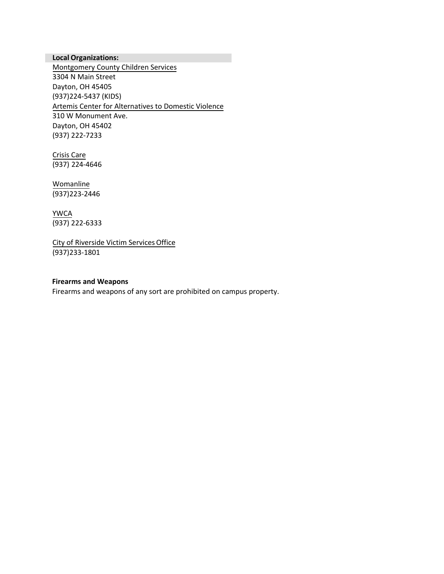# **Local Organizations:**

[Montgomery County Children Services](http://www.montcsb.org/) 3304 N Main Street Dayton, OH 45405 (937)224-5437 (KIDS) Artemis Center for Alternatives to Domestic Violence 310 W Monument Ave. Dayton, OH 45402 (937) [222-7233](http://www.artemiscenter.org/)

Crisis Care (937) 224-4646

Womanline (937)223-2446

YWCA (937) 222-6333

City of Riverside Victim Services Office (937)233-1801

## **Firearms and Weapons**

Firearms and weapons of any sort are prohibited on campus property.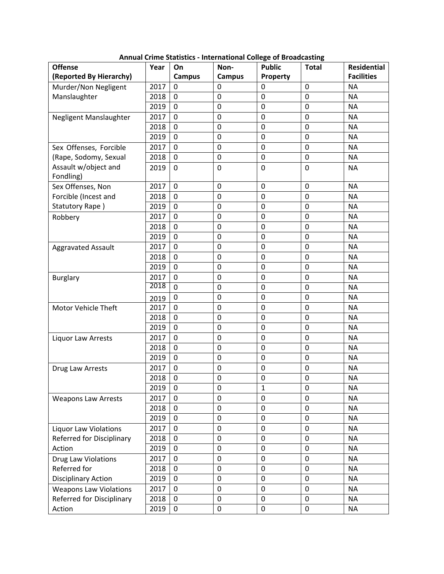| <b>Offense</b><br>(Reported By Hierarchy)       | Year | On                 | Non-               | <b>Public</b> | <b>Total</b>   | <b>Residential</b><br><b>Facilities</b> |
|-------------------------------------------------|------|--------------------|--------------------|---------------|----------------|-----------------------------------------|
| Murder/Non Negligent                            | 2017 | <b>Campus</b><br>0 | <b>Campus</b><br>0 | Property<br>0 | 0              | <b>NA</b>                               |
| Manslaughter                                    | 2018 | 0                  | $\boldsymbol{0}$   | 0             | 0              | <b>NA</b>                               |
|                                                 | 2019 | $\mathbf 0$        | $\mathbf 0$        | 0             | 0              | <b>NA</b>                               |
|                                                 | 2017 | 0                  | 0                  | 0             | 0              | <b>NA</b>                               |
| Negligent Manslaughter                          | 2018 | 0                  | $\mathbf 0$        | 0             | 0              | <b>NA</b>                               |
|                                                 | 2019 | $\overline{0}$     | $\mathbf 0$        | 0             | 0              | <b>NA</b>                               |
|                                                 | 2017 | $\mathbf 0$        | $\mathbf 0$        | 0             | 0              | <b>NA</b>                               |
| Sex Offenses, Forcible<br>(Rape, Sodomy, Sexual | 2018 | 0                  | $\mathbf 0$        | 0             | 0              | <b>NA</b>                               |
| Assault w/object and                            |      |                    |                    |               |                |                                         |
| Fondling)                                       | 2019 | $\mathbf 0$        | $\mathbf 0$        | 0             | 0              | <b>NA</b>                               |
| Sex Offenses, Non                               | 2017 | $\overline{0}$     | $\mathbf 0$        | 0             | 0              | <b>NA</b>                               |
| Forcible (Incest and                            | 2018 | 0                  | 0                  | 0             | 0              | ΝA                                      |
| Statutory Rape)                                 | 2019 | 0                  | $\mathbf 0$        | 0             | 0              | <b>NA</b>                               |
| Robbery                                         | 2017 | $\mathbf 0$        | $\mathbf 0$        | 0             | $\overline{0}$ | <b>NA</b>                               |
|                                                 | 2018 | 0                  | $\mathbf 0$        | 0             | 0              | <b>NA</b>                               |
|                                                 | 2019 | 0                  | 0                  | 0             | 0              | <b>NA</b>                               |
| <b>Aggravated Assault</b>                       | 2017 | $\mathbf 0$        | $\mathbf 0$        | 0             | $\overline{0}$ | <b>NA</b>                               |
|                                                 | 2018 | 0                  | $\mathbf 0$        | 0             | 0              | <b>NA</b>                               |
|                                                 | 2019 | 0                  | 0                  | 0             | 0              | <b>NA</b>                               |
| <b>Burglary</b>                                 | 2017 | $\mathbf 0$        | $\mathbf 0$        | 0             | 0              | <b>NA</b>                               |
|                                                 | 2018 | $\overline{0}$     | $\boldsymbol{0}$   | 0             | 0              | <b>NA</b>                               |
|                                                 | 2019 | 0                  | $\mathbf 0$        | 0             | 0              | <b>NA</b>                               |
| Motor Vehicle Theft                             | 2017 | 0                  | $\mathbf 0$        | 0             | 0              | <b>NA</b>                               |
|                                                 | 2018 | $\mathbf 0$        | $\mathbf 0$        | 0             | $\mathbf 0$    | <b>NA</b>                               |
|                                                 | 2019 | 0                  | $\mathbf 0$        | 0             | 0              | <b>NA</b>                               |
| Liquor Law Arrests                              | 2017 | 0                  | $\mathbf 0$        | 0             | 0              | <b>NA</b>                               |
|                                                 | 2018 | 0                  | $\boldsymbol{0}$   | 0             | $\mathbf 0$    | <b>NA</b>                               |
|                                                 | 2019 | 0                  | $\mathbf 0$        | 0             | 0              | <b>NA</b>                               |
| Drug Law Arrests                                | 2017 | $\overline{0}$     | $\mathbf 0$        | 0             | 0              | <b>NA</b>                               |
|                                                 | 2018 | 0                  | 0                  | 0             | 0              | <b>NA</b>                               |
|                                                 | 2019 | 0                  | 0                  | 1             | 0              | ΝA                                      |
| <b>Weapons Law Arrests</b>                      | 2017 | 0                  | $\mathbf 0$        | 0             | 0              | <b>NA</b>                               |
|                                                 | 2018 | $\mathbf 0$        | $\mathbf 0$        | 0             | 0              | <b>NA</b>                               |
|                                                 | 2019 | 0                  | 0                  | 0             | 0              | <b>NA</b>                               |
| <b>Liquor Law Violations</b>                    | 2017 | 0                  | $\mathbf 0$        | 0             | 0              | <b>NA</b>                               |
| Referred for Disciplinary                       | 2018 | 0                  | $\pmb{0}$          | 0             | 0              | <b>NA</b>                               |
| Action                                          | 2019 | 0                  | 0                  | 0             | 0              | <b>NA</b>                               |
| Drug Law Violations                             | 2017 | 0                  | $\mathbf 0$        | 0             | 0              | <b>NA</b>                               |
| Referred for                                    | 2018 | $\pmb{0}$          | $\mathbf 0$        | 0             | 0              | <b>NA</b>                               |
| <b>Disciplinary Action</b>                      | 2019 | 0                  | $\mathbf 0$        | 0             | 0              | <b>NA</b>                               |
| <b>Weapons Law Violations</b>                   | 2017 | 0                  | 0                  | 0             | 0              | <b>NA</b>                               |
| Referred for Disciplinary                       | 2018 | $\pmb{0}$          | $\pmb{0}$          | 0             | 0              | <b>NA</b>                               |
| Action                                          | 2019 | 0                  | $\pmb{0}$          | 0             | 0              | <b>NA</b>                               |

**Annual Crime Statistics - International College of Broadcasting**